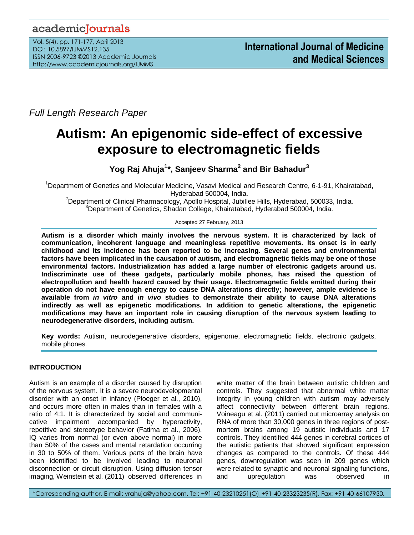# academicJournals

Vol. 5(4), pp. 171-177, April 2013 DOI: 10.5897/IJMMS12.135 ISSN 2006-9723 ©2013 Academic Journals http://www.academicjournals.org/IJMMS

*Full Length Research Paper*

# **Autism: An epigenomic side-effect of excessive exposure to electromagnetic fields**

**Yog Raj Ahuja<sup>1</sup> \*, Sanjeev Sharma<sup>2</sup> and Bir Bahadur<sup>3</sup>**

<sup>1</sup>Department of Genetics and Molecular Medicine, Vasavi Medical and Research Centre, 6-1-91, Khairatabad, Hyderabad 500004, India.

<sup>2</sup>Department of Clinical Pharmacology, Apollo Hospital, Jubillee Hills, Hyderabad, 500033, India. <sup>3</sup>Department of Genetics, Shadan College, Khairatabad, Hyderabad 500004, India.

#### Accepted 27 February, 2013

**Autism is a disorder which mainly involves the nervous system. It is characterized by lack of communication, incoherent language and meaningless repetitive movements. Its onset is in early childhood and its incidence has been reported to be increasing. Several genes and environmental factors have been implicated in the causation of autism, and electromagnetic fields may be one of those environmental factors. Industrialization has added a large number of electronic gadgets around us. Indiscriminate use of these gadgets, particularly mobile phones, has raised the question of electropollution and health hazard caused by their usage. Electromagnetic fields emitted during their operation do not have enough energy to cause DNA alterations directly; however, ample evidence is available from** *in vitro* **and** *in vivo* **studies to demonstrate their ability to cause DNA alterations indirectly as well as epigenetic modifications. In addition to genetic alterations, the epigenetic modifications may have an important role in causing disruption of the nervous system leading to neurodegenerative disorders, including autism.** 

**Key words:** Autism, neurodegenerative disorders, epigenome, electromagnetic fields, electronic gadgets, mobile phones.

# **INTRODUCTION**

Autism is an example of a disorder caused by disruption of the nervous system. It is a severe neurodevelopmental disorder with an onset in infancy (Ploeger et al., 2010), and occurs more often in males than in females with a ratio of 4:1. It is characterized by social and communicative impairment accompanied by hyperactivity, repetitive and stereotype behavior (Fatima et al., 2006). IQ varies from normal (or even above normal) in more than 50% of the cases and mental retardation occurring in 30 to 50% of them. Various parts of the brain have been identified to be involved leading to neuronal disconnection or circuit disruption. Using diffusion tensor imaging, Weinstein et al. (2011) observed differences in white matter of the brain between autistic children and controls. They suggested that abnormal white matter integrity in young children with autism may adversely affect connectivity between different brain regions. Voineagu et al. (2011) carried out microarray analysis on RNA of more than 30,000 genes in three regions of postmortem brains among 19 autistic individuals and 17 controls. They identified 444 genes in cerebral cortices of the autistic patients that showed significant expression changes as compared to the controls. Of these 444 genes, downregulation was seen in 209 genes which were related to synaptic and neuronal signaling functions, and upregulation was observed in

\*Corresponding author. E-mail: yrahuja@yahoo.com. Tel: +91-40-23210251(O),+91-40-23323235(R). Fax: +91-40-66107930.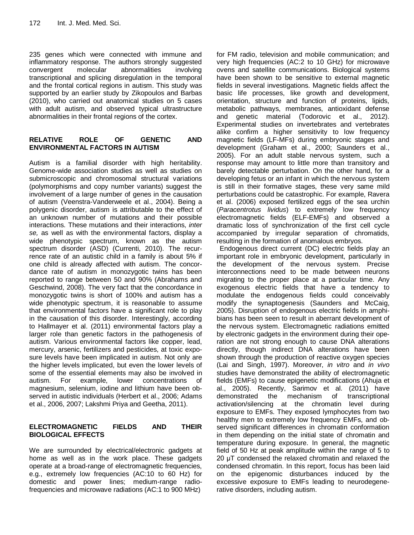235 genes which were connected with immune and inflammatory response. The authors strongly suggested convergent molecular abnormalities involving transcriptional and splicing disregulation in the temporal and the frontal cortical regions in autism. This study was supported by an earlier study by Zikopoulos and Barbas (2010), who carried out anatomical studies on 5 cases with adult autism, and observed typical ultrastructure abnormalities in their frontal regions of the cortex.

# **RELATIVE ROLE OF GENETIC AND ENVIRONMENTAL FACTORS IN AUTISM**

Autism is a familial disorder with high heritability. Genome-wide association studies as well as studies on submicroscopic and chromosomal structural variations (polymorphisms and copy number variants) suggest the involvement of a large number of genes in the causation of autism (Veenstra-Vanderweele et al., 2004). Being a polygenic disorder, autism is attributable to the effect of an unknown number of mutations and their possible interactions. These mutations and their interactions, *inter se,* as well as with the environmental factors, display a wide phenotypic spectrum, known as the autism spectrum disorder (ASD) (Currenti, 2010). The recurrence rate of an autistic child in a family is about 5% if one child is already affected with autism. The concordance rate of autism in monozygotic twins has been reported to range between 50 and 90% (Abrahams and Geschwind, 2008). The very fact that the concordance in monozygotic twins is short of 100% and autism has a wide phenotypic spectrum, it is reasonable to assume that environmental factors have a significant role to play in the causation of this disorder. Interestingly, according to Hallmayer et al. (2011) environmental factors play a larger role than genetic factors in the pathogenesis of autism. Various environmental factors like copper, lead, mercury, arsenic, fertilizers and pesticides, at toxic exposure levels have been implicated in autism. Not only are the higher levels implicated, but even the lower levels of some of the essential elements may also be involved in autism. For example, lower concentrations of magnesium, selenium, iodine and lithium have been observed in autistic individuals (Herbert et al., 2006; Adams et al., 2006, 2007; Lakshmi Priya and Geetha, 2011).

#### **ELECTROMAGNETIC FIELDS AND THEIR BIOLOGICAL EFFECTS**

We are surrounded by electrical/electronic gadgets at home as well as in the work place. These gadgets operate at a broad-range of electromagnetic frequencies, e.g., extremely low frequencies (AC:10 to 60 Hz) for domestic and power lines; medium-range radiofrequencies and microwave radiations (AC:1 to 900 MHz)

for FM radio, television and mobile communication; and very high frequencies (AC:2 to 10 GHz) for microwave ovens and satellite communications. Biological systems have been shown to be sensitive to external magnetic fields in several investigations. Magnetic fields affect the basic life processes, like growth and development, orientation, structure and function of proteins, lipids, metabolic pathways, membranes, antioxidant defense and genetic material (Todorovic et al., 2012). Experimental studies on invertebrates and vertebrates alike confirm a higher sensitivity to low frequency magnetic fields (LF-MFs) during embryonic stages and development (Graham et al., 2000; Saunders et al., 2005). For an adult stable nervous system, such a response may amount to little more than transitory and barely detectable perturbation. On the other hand, for a developing fetus or an infant in which the nervous system is still in their formative stages, these very same mild perturbations could be catastrophic. For example, Ravera et al. (2006) exposed fertilized eggs of the sea urchin (*Paracentrotus lividus*) to extremely low frequency electromagnetic fields (ELF-EMFs) and observed a dramatic loss of synchronization of the first cell cycle accompanied by irregular separation of chromatids, resulting in the formation of anomalous embryos.

Endogenous direct current (DC) electric fields play an important role in embryonic development, particularly in the development of the nervous system. Precise interconnections need to be made between neurons migrating to the proper place at a particular time. Any exogenous electric fields that have a tendency to modulate the endogenous fields could conceivably modify the synaptogenesis (Saunders and McCaig, 2005). Disruption of endogenous electric fields in amphibians has been seen to result in aberrant development of the nervous system. Electromagnetic radiations emitted by electronic gadgets in the environment during their operation are not strong enough to cause DNA alterations directly, though indirect DNA alterations have been shown through the production of reactive oxygen species (Lai and Singh, 1997). Moreover, *in vitro* and *in vivo* studies have demonstrated the ability of electromagnetic fields (EMFs) to cause epigenetic modifications (Ahuja et al., 2005). Recently, Sarimov et al. (2011) have demonstrated the mechanism of transcriptional activation/silencing at the chromatin level during exposure to EMFs. They exposed lymphocytes from two healthy men to extremely low frequency EMFs, and observed significant differences in chromatin conformation in them depending on the initial state of chromatin and temperature during exposure. In general, the magnetic field of 50 Hz at peak amplitude within the range of 5 to 20 μT condensed the relaxed chromatin and relaxed the condensed chromatin. In this report, focus has been laid on the epigenomic disturbances induced by the excessive exposure to EMFs leading to neurodegenerative disorders, including autism.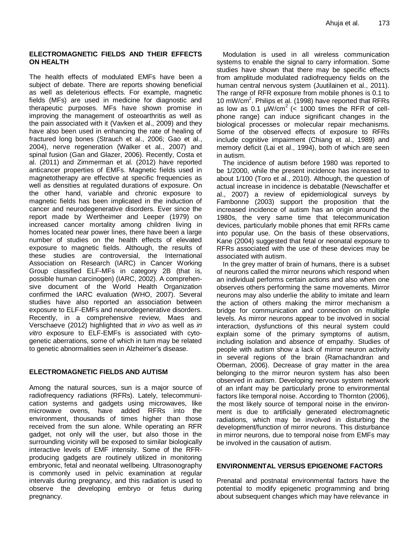#### **ELECTROMAGNETIC FIELDS AND THEIR EFFECTS ON HEALTH**

The health effects of modulated EMFs have been a subject of debate. There are reports showing beneficial as well as deleterious effects. For example, magnetic fields (MFs) are used in medicine for diagnostic and therapeutic purposes. MFs have shown promise in improving the management of osteoarthritis as well as the pain associated with it (Vavken et al., 2009) and they have also been used in enhancing the rate of healing of fractured long bones (Strauch et al., 2006; Gao et al., 2004), nerve regeneration (Walker et al., 2007) and spinal fusion (Gan and Glazer, 2006). Recently, Costa et al. (2011) and Zimmerman et al. (2012) have reported anticancer properties of EMFs. Magnetic fields used in magnetotherapy are effective at specific frequencies as well as densities at regulated durations of exposure. On the other hand, variable and chronic exposure to magnetic fields has been implicated in the induction of cancer and neurodegenerative disorders. Ever since the report made by Wertheimer and Leeper (1979) on increased cancer mortality among children living in homes located near power lines, there have been a large number of studies on the health effects of elevated exposure to magnetic fields. Although, the results of these studies are controversial, the International Association on Research (IARC) in Cancer Working Group classified ELF-MFs in category 2B (that is, possible human carcinogen) (IARC, 2002). A comprehensive document of the World Health Organization confirmed the IARC evaluation (WHO, 2007). Several studies have also reported an association between exposure to ELF-EMFs and neurodegenerative disorders. Recently, in a comprehensive review, Maes and Verschaeve (2012) highlighted that *in vivo* as well as *in vitro* exposure to ELF-EMFs is associated with cytogenetic aberrations, some of which in turn may be related to genetic abnormalities seen in Alzheimer's disease.

# **ELECTROMAGNETIC FIELDS AND AUTISM**

Among the natural sources, sun is a major source of radiofrequency radiations (RFRs). Lately, telecommunication systems and gadgets using microwaves, like microwave ovens, have added RFRs into the environment, thousands of times higher than those received from the sun alone. While operating an RFR gadget, not only will the user, but also those in the surrounding vicinity will be exposed to similar biologically interactive levels of EMF intensity. Some of the RFRproducing gadgets are routinely utilized in monitoring embryonic, fetal and neonatal wellbeing. Ultrasonography is commonly used in pelvic examination at regular intervals during pregnancy, and this radiation is used to observe the developing embryo or fetus during pregnancy.

Modulation is used in all wireless communication systems to enable the signal to carry information. Some studies have shown that there may be specific effects from amplitude modulated radiofrequency fields on the human central nervous system (Juutilainen et al., 2011). The range of RFR exposure from mobile phones is 0.1 to 10 mW/cm<sup>2</sup>. Philips et al. (1998) have reported that RFRs as low as 0.1  $\mu$ W/cm<sup>2</sup> (< 1000 times the RFR of cellphone range) can induce significant changes in the biological processes or molecular repair mechanisms. Some of the observed effects of exposure to RFRs include cognitive impairment (Chiang et al., 1989) and memory deficit (Lai et al., 1994), both of which are seen in autism.

The incidence of autism before 1980 was reported to be 1/2000, while the present incidence has increased to about 1/100 (Toro et al., 2010). Although, the question of actual increase in incidence is debatable (Newschaffer et al., 2007) a review of epidemiological surveys by Fambonne (2003) support the proposition that the increased incidence of autism has an origin around the 1980s, the very same time that telecommunication devices, particularly mobile phones that emit RFRs came into popular use. On the basis of these observations, Kane (2004) suggested that fetal or neonatal exposure to RFRs associated with the use of these devices may be associated with autism.

In the grey matter of brain of humans, there is a subset of neurons called the mirror neurons which respond when an individual performs certain actions and also when one observes others performing the same movements. Mirror neurons may also underlie the ability to imitate and learn the action of others making the mirror mechanism a bridge for communication and connection on multiple levels. As mirror neurons appear to be involved in social interaction, dysfunctions of this neural system could explain some of the primary symptoms of autism, including isolation and absence of empathy. Studies of people with autism show a lack of mirror neuron activity in several regions of the brain (Ramachandran and Oberman, 2006). Decrease of gray matter in the area belonging to the mirror neuron system has also been observed in autism. Developing nervous system network of an infant may be particularly prone to environmental factors like temporal noise. According to Thornton (2006), the most likely source of temporal noise in the environment is due to artificially generated electromagnetic radiations, which may be involved in disturbing the development/function of mirror neurons. This disturbance in mirror neurons, due to temporal noise from EMFs may be involved in the causation of autism.

# **ENVIRONMENTAL VERSUS EPIGENOME FACTORS**

Prenatal and postnatal environmental factors have the potential to modify epigenetic programming and bring about subsequent changes which may have relevance in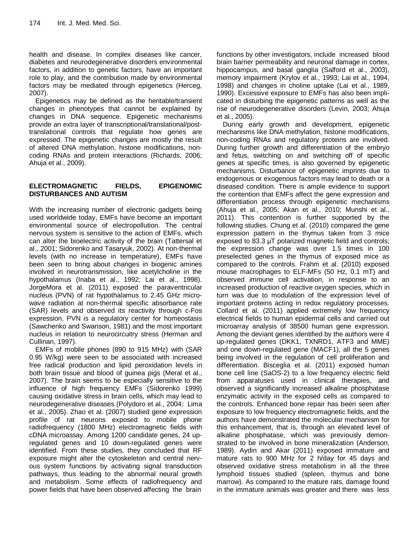health and disease. In complex diseases like cancer, diabetes and neurodegenerative disorders environmental factors, in addition to genetic factors, have an important role to play, and the contribution made by environmental factors may be mediated through epigenetics (Herceg, 2007).

Epigenetics may be defined as the heritable/transient changes in phenotypes that cannot be explained by changes in DNA sequence. Epigenetic mechanisms provide an extra layer of transcriptional/translational/posttranslational controls that regulate how genes are expressed. The epigenetic changes are mostly the result of altered DNA methylation, histone modifications, noncoding RNAs and protein interactions (Richards, 2006; Ahuja et al., 2009).

#### **ELECTROMAGNETIC FIELDS, EPIGENOMIC DISTURBANCES AND AUTISM**

With the increasing number of electronic gadgets being used worldwide today, EMFs have become an important environmental source of electropollution. The central nervous system is sensitive to the action of EMFs, which can alter the bioelectric activity of the brain (Tattersal et al., 2001; Sidorenko and Tasaryuk, 2002). At non-thermal levels (with no increase in temperature), EMFs have been seen to bring about changes in biogenic amines involved in neurotransmission, like acetylcholine in the hypothalamus (Inaba et al., 1992; Lai et al., 1998). JorgeMora et al. (2011) exposed the paraventricular nucleus (PVN) of rat hypothalamus to 2.45 GHz microwave radiation at non-thermal specific absorbance rate (SAR) levels and observed its reactivity through c-Fos expression. PVN is a regulatory center for homeostasis (Sawchenko and Swanson, 1981) and the most important nucleus in relation to neurocircuitry stress (Herman and Cullinan, 1997).

EMFs of mobile phones (890 to 915 MHz) with (SAR 0.95 W/kg) were seen to be associated with increased free radical production and lipid peroxidation levels in both brain tissue and blood of guinea pigs (Meral et al., 2007). The brain seems to be especially sensitive to the influence of high frequency EMFs (Sidorenko 1999) causing oxidative stress in brain cells, which may lead to neurodegenerative diseases (Polydoro et al., 2004; Lima et al., 2005). Zhao et al. (2007) studied gene expression profile of rat neurons exposed to mobile phone radiofrequency (1800 MHz) electromagnetic fields with cDNA microassay. Among 1200 candidate genes, 24 upregulated genes and 10 down-regulated genes were identified. From these studies, they concluded that RF exposure might alter the cytoskeleton and central nervous system functions by activating signal transduction pathways, thus leading to the abnormal neural growth and metabolism. Some effects of radiofrequency and power fields that have been observed affecting the brain

functions by other investigators, include increased blood brain barrier permeability and neuronal damage in cortex, hippocampus, and basal ganglia (Salford et al., 2003), memory impairment (Krylov et al., 1993; Lai et al., 1994, 1998) and changes in choline uptake (Lai et al., 1989, 1990). Excessive exposure to EMFs has also been implicated in disturbing the epigenetic patterns as well as the rise of neurodegenerative disorders (Levin, 2003; Ahuja et al., 2005).

During early growth and development, epigenetic mechanisms like DNA methylation, histone modifications, non-coding RNAs and regulatory proteins are involved. During further growth and differentiation of the embryo and fetus, switching on and switching off of specific genes at specific times, is also governed by epigenetic mechanisms. Disturbance of epigenetic imprints due to endogenous or exogenous factors may lead to death or a diseased condition. There is ample evidence to support the contention that EMFs affect the gene expression and differentiation process through epigenetic mechanisms (Ahuja et al., 2005; Akan et al., 2010; Munshi et al., 2011). This contention is further supported by the following studies. Chung et al. (2010) compared the gene expression pattern in the thymus taken from 3 mice exposed to 83.3 µT polarized magnetic field and controls; the expression change was over 1.5 times in 100 preselected genes in the thymus of exposed mice as compared to the controls. Frahm et al. (2010) exposed mouse macrophages to ELF-MFs (50 Hz, 0.1 mT) and observed immune cell activation, in response to an increased production of reactive oxygen species, which in turn was due to modulation of the expression level of important proteins acting in redox regulatory processes. Collard et al. (2011) applied extremely low frequency electrical fields to human epidermal cells and carried out microarray analysis of 38500 human gene expression. Among the deviant genes identified by the authors were 4 up-regulated genes (DKK1, TXNRD1, ATF3 and MME) and one down-regulated gene (MACF1), all the 5 genes being involved in the regulation of cell proliferation and differentiation. Bisceglia et al. (2011) exposed human bone cell line (SaOS-2) to a low frequency electric field from apparatuses used in clinical therapies, and observed a significantly increased alkaline phosphatase enzymatic activity in the exposed cells as compared to the controls. Enhanced bone repair has been seen after exposure to low frequency electromagnetic fields, and the authors have demonstrated the molecular mechanism for this enhancement, that is, through an elevated level of alkaline phosphatase, which was previously demonstrated to be involved in bone mineralization (Anderson, 1989). Aydin and Akar (2011) exposed immature and mature rats to 900 MHz for 2 h/day for 45 days and observed oxidative stress metabolism in all the three lymphoid tissues studied (spleen, thymus and bone marrow). As compared to the mature rats, damage found in the immature animals was greater and there was less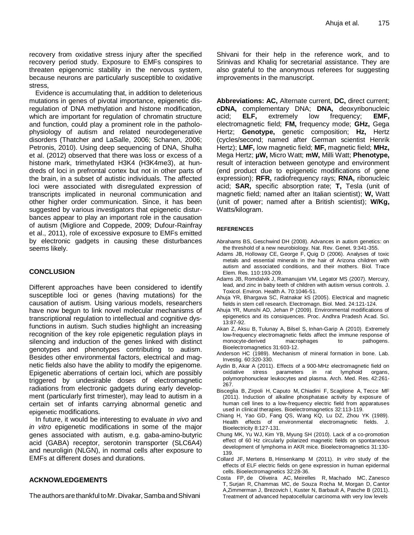recovery from oxidative stress injury after the specified recovery period study. Exposure to EMFs conspires to threaten epigenomic stability in the nervous system, because neurons are particularly susceptible to oxidative stress,

Evidence is accumulating that, in addition to deleterious mutations in genes of pivotal importance, epigenetic disregulation of DNA methylation and histone modification, which are important for regulation of chromatin structure and function, could play a prominent role in the patholophysiology of autism and related neurodegenerative disorders (Thatcher and LaSalle, 2006; Schanen, 2006; Petronis, 2010). Using deep sequencing of DNA, Shulha et al. (2012) observed that there was loss or excess of a histone mark, trimethylated H3K4 (H3K4me3), at hundreds of loci in prefrontal cortex but not in other parts of the brain, in a subset of autistic individuals. The affected loci were associated with disregulated expression of transcripts implicated in neuronal communication and other higher order communication. Since, it has been suggested by various investigators that epigenetic disturbances appear to play an important role in the causation of autism (Migliore and Coppede, 2009; Dufour-Rainfray et al., 2011), role of excessive exposure to EMFs emitted by electronic gadgets in causing these disturbances seems likely.

#### **CONCLUSION**

Different approaches have been considered to identify susceptible loci or genes (having mutations) for the causation of autism. Using various models, researchers have now begun to link novel molecular mechanisms of transcriptional regulation to intellectual and cognitive dysfunctions in autism. Such studies highlight an increasing recognition of the key role epigenetic regulation plays in silencing and induction of the genes linked with distinct genotypes and phenotypes contributing to autism. Besides other environmental factors, electrical and magnetic fields also have the ability to modify the epigenome. Epigenetic aberrations of certain loci, which are possibly triggered by undesirable doses of electromagnetic radiations from electronic gadgets during early development (particularly first trimester), may lead to autism in a certain set of infants carrying abnormal genetic and epigenetic modifications.

In future, it would be interesting to evaluate *in vivo* and *in vitro* epigenetic modifications in some of the major genes associated with autism, e.g. gaba-amino-butyric acid (GABA) receptor, serotonin transporter (SLC6A4) and neuroligin (NLGN), in normal cells after exposure to EMFs at different doses and durations.

#### **ACKNOWLEDGEMENTS**

The authors are thankful to Mr. Divakar, Samba and Shivani

Shivani for their help in the reference work, and to Srinivas and Khaliq for secretarial assistance. They are also grateful to the anonymous referees for suggesting improvements in the manuscript.

**Abbreviations: AC,** Alternate current, **DC,** direct current; **cDNA,** complementary DNA; **DNA,** deoxyribonucleic acid; **ELF,** extremely low frequency; **EMF,** electromagnetic field; **FM,** frequency mode; **GHz,** Gega Hertz; **Genotype,** genetic composition; **Hz,** Hertz (cycles/second; named after German scientist Henrik Hertz); **LMF,** low magnetic field; **MF,** magnetic field; **MHz,** Mega Hertz; **µW,** Micro Watt; **mW,** Milli Watt; **Phenotype,** result of interaction between genotype and environment (end product due to epigenetic modifications of gene expression); **RFR,** radiofrequency rays; **RNA,** ribonucleic acid; **SAR,** specific absorption rate; **T,** Tesla (unit of magnetic field; named after an Italian scientist); **W,** Watt (unit of power; named after a British scientist); **W/Kg,** Watts/kilogram.

#### **REFERENCES**

- [Abrahams BS,](http://www.ncbi.nlm.nih.gov/pubmed?term=Abrahams%20BS%5BAuthor%5D&cauthor=true&cauthor_uid=18414403) [Geschwind DH](http://www.ncbi.nlm.nih.gov/pubmed?term=Geschwind%20DH%5BAuthor%5D&cauthor=true&cauthor_uid=18414403) (2008). Advances in autism genetics: on the threshold of a new neurobiology. [Nat. Rev. Genet.](http://www.ncbi.nlm.nih.gov/pubmed?term=Abrahms%2C%20%20B.S.%2C%20%20and%20%20Geschwind%2C%20%20D.H.%20(2008).%20%20Advances%20%20in%20%20autism%20%20genetics%3A%20%20On%20%20the%20%20%20%20%20%20%20%20%20%20threshold%20%20of%20%20a%20%20new%20%20neurobiology.%20%20Nat%20Rev%20Genet%2C%209%2C341-355.) 9:341-355.
- [Adams JB,](http://www.ncbi.nlm.nih.gov/pubmed?term=Adams%20JB%5BAuthor%5D&cauthor=true&cauthor_uid=16845157) [Holloway CE,](http://www.ncbi.nlm.nih.gov/pubmed?term=Holloway%20CE%5BAuthor%5D&cauthor=true&cauthor_uid=16845157) [George F,](http://www.ncbi.nlm.nih.gov/pubmed?term=George%20F%5BAuthor%5D&cauthor=true&cauthor_uid=16845157) [Quig D](http://www.ncbi.nlm.nih.gov/pubmed?term=Quig%20D%5BAuthor%5D&cauthor=true&cauthor_uid=16845157) (2006). Analyses of toxic metals and essential minerals in the hair of Arizona children with autism and associated conditions, and their mothers. Biol. [Trace](http://www.ncbi.nlm.nih.gov/pubmed?term=Adams%2C%20J.B.%2C%20Holloway%2C%20C.E.%2C%20George%2C%20F.%2C%20Quig%2C%20D.%20(2006).%20%20Analyses%20%20of%20%20toxic%20%20metals%20%20and%20%20%20%20%20%20%20%20Essential%20%20minerals%20%20in%20%20the%20%20hair%20%20of%20%20Arizona%20%20children%20%20with%20%20autism%20%20and%20%20associated%20%20%20%20%20%20%20conditions%2C%20%20and%20%20their%20%20mothers.%20%20Biol%20%20Trace%20%20Elem%20%20Res%2C%20%20110%2C%20%20193-209.)  [Elem.](http://www.ncbi.nlm.nih.gov/pubmed?term=Adams%2C%20J.B.%2C%20Holloway%2C%20C.E.%2C%20George%2C%20F.%2C%20Quig%2C%20D.%20(2006).%20%20Analyses%20%20of%20%20toxic%20%20metals%20%20and%20%20%20%20%20%20%20%20Essential%20%20minerals%20%20in%20%20the%20%20hair%20%20of%20%20Arizona%20%20children%20%20with%20%20autism%20%20and%20%20associated%20%20%20%20%20%20%20conditions%2C%20%20and%20%20their%20%20mothers.%20%20Biol%20%20Trace%20%20Elem%20%20Res%2C%20%20110%2C%20%20193-209.) Res. 110:193-209.
- [Adams JB,](http://www.ncbi.nlm.nih.gov/pubmed?term=Adams%20JB%5BAuthor%5D&cauthor=true&cauthor_uid=17497416) [Romdalvik J,](http://www.ncbi.nlm.nih.gov/pubmed?term=Romdalvik%20J%5BAuthor%5D&cauthor=true&cauthor_uid=17497416) [Ramanujam VM,](http://www.ncbi.nlm.nih.gov/pubmed?term=Ramanujam%20VM%5BAuthor%5D&cauthor=true&cauthor_uid=17497416) [Legator MS](http://www.ncbi.nlm.nih.gov/pubmed?term=Legator%20MS%5BAuthor%5D&cauthor=true&cauthor_uid=17497416) (2007). Mercury, lead, and zinc in baby teeth of children with autism versus controls. [J.](http://www.ncbi.nlm.nih.gov/pubmed?term=Adams%2C%20%20J.B.%2C%20%20Romdalvik%2C%20%20J.%2C%20%20Ramanujam%2C%20%20V.M.S.%2C%20%20Legator%2C%20%20M.S.(2007).%20%20Mercury%2C%20lead%2C%20%20and%20%20zinc%20%20in%20%20baby%20%20teeth%20%20of%20%20children%20%20with%20%20autism%20%20versus%20%20controls.%20%20J%20%20Toxicol%20Environ%20%20Health%2C%20%2070%2C%20%201046-1051.)  [Toxicol. Environ. Health A.](http://www.ncbi.nlm.nih.gov/pubmed?term=Adams%2C%20%20J.B.%2C%20%20Romdalvik%2C%20%20J.%2C%20%20Ramanujam%2C%20%20V.M.S.%2C%20%20Legator%2C%20%20M.S.(2007).%20%20Mercury%2C%20lead%2C%20%20and%20%20zinc%20%20in%20%20baby%20%20teeth%20%20of%20%20children%20%20with%20%20autism%20%20versus%20%20controls.%20%20J%20%20Toxicol%20Environ%20%20Health%2C%20%2070%2C%20%201046-1051.) 70:1046-51.
- Ahuja YR, Bhargava SC, Ratnakar kS (2005). Electrical and magnetic fields in stem cell research. Electromagn. Biol. Med. 24:121-124.
- Ahuja YR, Munshi AD, Jehan P (2009). Environmental modifications of epigenetics and its consiquences. Proc. Andhra Pradesh Acad. Sci. 13:87-92.
- [Akan Z,](http://www.ncbi.nlm.nih.gov/pubmed?term=Akan%20Z%5BAuthor%5D&cauthor=true&cauthor_uid=20809504) [Aksu B,](http://www.ncbi.nlm.nih.gov/pubmed?term=Aksu%20B%5BAuthor%5D&cauthor=true&cauthor_uid=20809504) [Tulunay A,](http://www.ncbi.nlm.nih.gov/pubmed?term=Tulunay%20A%5BAuthor%5D&cauthor=true&cauthor_uid=20809504) [Bilsel S,](http://www.ncbi.nlm.nih.gov/pubmed?term=Bilsel%20S%5BAuthor%5D&cauthor=true&cauthor_uid=20809504) [Inhan-Garip A](http://www.ncbi.nlm.nih.gov/pubmed?term=Inhan-Garip%20A%5BAuthor%5D&cauthor=true&cauthor_uid=20809504) (2010). Extremely low-frequency electromagnetic fields affect the immune response of monocyte-derived macrophages to pathogens. [Bioelectromagnetics](http://www.ncbi.nlm.nih.gov/pubmed?term=Akan%2C%20%20Z.%2C%20%20%20Aksu%2C%20B.%2C%20%20Tulunay%2C%20A.%2C%20%20Bilsel%2C%20S.%2C%20%20Inhan-Garip%2C%20A.%20%20(2010).%20%20Extremely%20%20low-%20%20%20%20%20frequency%20%20electromagnetic%20%20fields%20%20affect%20%20the%20%20immune%20%20response%20%20of%20%20monocyte-derived%20%20%20%20%20%20%20%20macrophages%20%20to%20%20pathogens.%20%20Bioelectromagnetics%2C%20%2031%2C%20%20603-612.) 31:603-12.
- Anderson HC (1989). Mechanism of mineral formation in bone. Lab. Investig. 60:320-330.
- [Aydin B,](http://www.ncbi.nlm.nih.gov/pubmed?term=Aydin%20B%5BAuthor%5D&cauthor=true&cauthor_uid=21820603) [Akar A](http://www.ncbi.nlm.nih.gov/pubmed?term=Akar%20A%5BAuthor%5D&cauthor=true&cauthor_uid=21820603) (2011). Effects of a 900-MHz electromagnetic field on oxidative stress parameters in rat lymphoid organs, polymorphonuclear leukocytes and plasma. [Arch.](http://www.ncbi.nlm.nih.gov/pubmed?term=Aydin%2C%20B.%2C%20%20Akar%2C%20A.%20%20(2011%20).%20%20Effects%20%20of%20%20a%20%20900-MHz%20%20electromagnetic%20%20field%20%20on%20%20oxidative%20stress%20%20parameters%20%20in%20%20rat%20%20lymphoid%20%20organs%2C%20%20polymorphonuclear%20%20leukocytes%20%20and%20plasma.%20%20Arch%20%20Med%20%20Res%2C%20%2042%2C%20%20261-267.) Med. Res. 42:261- 267.
- [Bisceglia B,](http://www.ncbi.nlm.nih.gov/pubmed?term=Bisceglia%20B%5BAuthor%5D&cauthor=true&cauthor_uid=21225888) [Zirpoli H,](http://www.ncbi.nlm.nih.gov/pubmed?term=Zirpoli%20H%5BAuthor%5D&cauthor=true&cauthor_uid=21225888) [Caputo M,](http://www.ncbi.nlm.nih.gov/pubmed?term=Caputo%20M%5BAuthor%5D&cauthor=true&cauthor_uid=21225888) [Chiadini F,](http://www.ncbi.nlm.nih.gov/pubmed?term=Chiadini%20F%5BAuthor%5D&cauthor=true&cauthor_uid=21225888) [Scaglione A,](http://www.ncbi.nlm.nih.gov/pubmed?term=Scaglione%20A%5BAuthor%5D&cauthor=true&cauthor_uid=21225888) [Tecce MF](http://www.ncbi.nlm.nih.gov/pubmed?term=Tecce%20MF%5BAuthor%5D&cauthor=true&cauthor_uid=21225888) (2011). Induction of alkaline phosphatase activity by exposure of human cell lines to a low-frequency electric field from apparatuses used in clinical therapies. [Bioelectromagnetics](http://www.ncbi.nlm.nih.gov/pubmed?term=Bisceglia%2C%20B.%2C%20%20Zirtpoli%2C%20H.%2C%20%20Cabuto%2C%20M.%2C%20%20Chaladini%2C%20F.%2C%20%20Scaglione%2C%20A.%2C%20%20Tecce%2C%20%20M.F.%20(2011).%20%20%20Induction%20%20of%20%20alkaline%20%20phosphatase%20%20activity%20%20by%20%20exposure%20%20of%20%20human%20%20cell%20%20lines%20to%20%20a%20%20low-frequency%20%20electric%20%20field%20%20from%20%20apparatuses%20%20used%20%20in%20%20clinical%20%20therapies.%20Bioelectromagnetics%2C%20%20%2032%2C113-119.) 32:113-119.
- Chiang H, Yao GD, Fang QS, Wang KQ, Lu DZ, Zhou YK (1989). Health effects of environmental electromagnetic fields. J. Bioelectricity 8:127-131.
- [Chung MK,](http://www.ncbi.nlm.nih.gov/pubmed?term=Chung%20MK%5BAuthor%5D&cauthor=true&cauthor_uid=19722221) [Yu WJ,](http://www.ncbi.nlm.nih.gov/pubmed?term=Yu%20WJ%5BAuthor%5D&cauthor=true&cauthor_uid=19722221) [Kim YB,](http://www.ncbi.nlm.nih.gov/pubmed?term=Kim%20YB%5BAuthor%5D&cauthor=true&cauthor_uid=19722221) [Myung SH](http://www.ncbi.nlm.nih.gov/pubmed?term=Myung%20SH%5BAuthor%5D&cauthor=true&cauthor_uid=19722221) (2010). Lack of a co-promotion effect of 60 Hz circularly polarized magnetic fields on spontaneous development of lymphoma in AKR mice. [Bioelectromagnetics](http://www.ncbi.nlm.nih.gov/pubmed?term=Chung%2C%20M-K.%2C%20%20Yu%2C%20W-J.%2C%20Kim%2C%20%20Y-B.%2C%20Myung%2C%20%20S-H.%20(2010).%20%20Lack%20%20of%20%20co-promotion%20%20effect%20of%20%20%2060%20Hz%20%20circularly%20%20polarized%20%20magnetic%20%20fields%20%20on%20%20spontaneous%20%20development%20%20of%20lymphoma%20%20in%20%20%20AKR%20%20mice.%20%20Bioelectromagnetics%2C%20%2031%2C%20%20130-139.) 31:130- 139.
- [Collard JF,](http://www.ncbi.nlm.nih.gov/pubmed?term=Collard%20JF%5BAuthor%5D&cauthor=true&cauthor_uid=20809503) [Mertens B,](http://www.ncbi.nlm.nih.gov/pubmed?term=Mertens%20B%5BAuthor%5D&cauthor=true&cauthor_uid=20809503) [Hinsenkamp M](http://www.ncbi.nlm.nih.gov/pubmed?term=Hinsenkamp%20M%5BAuthor%5D&cauthor=true&cauthor_uid=20809503) (2011). *In vitro* study of the effects of ELF electric fields on gene expression in human epidermal cells. [Bioelectromagnetics](http://www.ncbi.nlm.nih.gov/pubmed?term=Collard%2C%20J-F.%2C%20%20Mertens%2C%20B.%2C%20%20Hirsenkamp%2C%20M.%20%20(2011).%20%20In%20%20vitro%20%20study%20%20of%20%20the%20%20effects%20%20of%20ELF%20%20electric%20%20fields%20%20on%20%20gene%20%20expression%20%20in%20%20human%20%20epidermal%20%20cells.%20Bioelectromagnetics%2C%20%20%2032%2C%2028-36.) 32:28-36.
- [Costa FP,](http://www.ncbi.nlm.nih.gov/pubmed?term=Costa%20FP%5BAuthor%5D&cauthor=true&cauthor_uid=21829195) [de Oliveira AC,](http://www.ncbi.nlm.nih.gov/pubmed?term=de%20Oliveira%20AC%5BAuthor%5D&cauthor=true&cauthor_uid=21829195) [Meirelles R,](http://www.ncbi.nlm.nih.gov/pubmed?term=Meirelles%20R%5BAuthor%5D&cauthor=true&cauthor_uid=21829195) [Machado MC,](http://www.ncbi.nlm.nih.gov/pubmed?term=Machado%20MC%5BAuthor%5D&cauthor=true&cauthor_uid=21829195) [Zanesco](http://www.ncbi.nlm.nih.gov/pubmed?term=Zanesco%20T%5BAuthor%5D&cauthor=true&cauthor_uid=21829195)  [T,](http://www.ncbi.nlm.nih.gov/pubmed?term=Zanesco%20T%5BAuthor%5D&cauthor=true&cauthor_uid=21829195) [Surjan R,](http://www.ncbi.nlm.nih.gov/pubmed?term=Surjan%20R%5BAuthor%5D&cauthor=true&cauthor_uid=21829195) [Chammas MC,](http://www.ncbi.nlm.nih.gov/pubmed?term=Chammas%20MC%5BAuthor%5D&cauthor=true&cauthor_uid=21829195) [de Souza Rocha M,](http://www.ncbi.nlm.nih.gov/pubmed?term=de%20Souza%20Rocha%20M%5BAuthor%5D&cauthor=true&cauthor_uid=21829195) [Morgan D,](http://www.ncbi.nlm.nih.gov/pubmed?term=Morgan%20D%5BAuthor%5D&cauthor=true&cauthor_uid=21829195) [Cantor](http://www.ncbi.nlm.nih.gov/pubmed?term=Cantor%20A%5BAuthor%5D&cauthor=true&cauthor_uid=21829195)  [A](http://www.ncbi.nlm.nih.gov/pubmed?term=Cantor%20A%5BAuthor%5D&cauthor=true&cauthor_uid=21829195)[,Zimmerman J,](http://www.ncbi.nlm.nih.gov/pubmed?term=Zimmerman%20J%5BAuthor%5D&cauthor=true&cauthor_uid=21829195) [Brezovich I,](http://www.ncbi.nlm.nih.gov/pubmed?term=Brezovich%20I%5BAuthor%5D&cauthor=true&cauthor_uid=21829195) [Kuster N,](http://www.ncbi.nlm.nih.gov/pubmed?term=Kuster%20N%5BAuthor%5D&cauthor=true&cauthor_uid=21829195) [Barbault A,](http://www.ncbi.nlm.nih.gov/pubmed?term=Barbault%20A%5BAuthor%5D&cauthor=true&cauthor_uid=21829195) [Pasche B](http://www.ncbi.nlm.nih.gov/pubmed?term=Pasche%20B%5BAuthor%5D&cauthor=true&cauthor_uid=21829195) (2011). Treatment of advanced hepatocellular carcinoma with very low levels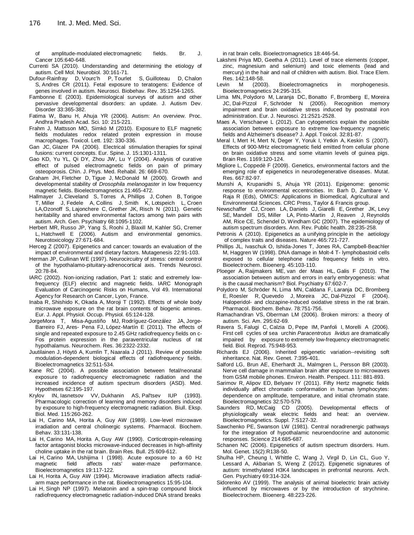of amplitude-modulated electromagnetic fields. [Br. J.](http://www.ncbi.nlm.nih.gov/pubmed?term=Costa%20FP%2C%20de%20Oliveira%20AC%2C%20Meirelles%20R%2C%20Machado%20MC%2C%20Zanesco%20T%2C%20Surjan%20R%2C%20Chammas%20MC%2C%20de%20Souza%20Rocha%20M%2C%20Morgan%20D%2C%20Cantor%20A%2CZimmerman%20J%2C%20Brezovich%20I%2C%20Kuster%20N%2C%20Barbault%20A%2C%20Pasche%20B%20(2011).Treatment%20of%20advanced%20hepatocellular%20carcinoma%20with%20very%20low%20levels%20of%20amplitude-modulated%20electromagnetic%20fields.%20Br%20J%20Cancer.%20%20105%3A640-648.)  [Cancer](http://www.ncbi.nlm.nih.gov/pubmed?term=Costa%20FP%2C%20de%20Oliveira%20AC%2C%20Meirelles%20R%2C%20Machado%20MC%2C%20Zanesco%20T%2C%20Surjan%20R%2C%20Chammas%20MC%2C%20de%20Souza%20Rocha%20M%2C%20Morgan%20D%2C%20Cantor%20A%2CZimmerman%20J%2C%20Brezovich%20I%2C%20Kuster%20N%2C%20Barbault%20A%2C%20Pasche%20B%20(2011).Treatment%20of%20advanced%20hepatocellular%20carcinoma%20with%20very%20low%20levels%20of%20amplitude-modulated%20electromagnetic%20fields.%20Br%20J%20Cancer.%20%20105%3A640-648.) 105:640-648.

- [Currenti SA](http://www.ncbi.nlm.nih.gov/pubmed?term=Currenti%20SA%5BAuthor%5D&cauthor=true&cauthor_uid=19774457) (2010). Understanding and determining the etiology of autism. Cell Mol. [Neurobiol.](http://www.ncbi.nlm.nih.gov/pubmed?term=Currenti%2C%20S.A.%20%20(2010).%20%20Understanding%20%20and%20%20determining%20%20the%20%20etiology%20%20of%20%20autism.%20%20Cell%20Mol%20%20%20%20Neurobiol%2C%20%2030%2C%20%20161-171.) 30:161-71.
- [Dufour-Rainfray D,](http://www.ncbi.nlm.nih.gov/pubmed?term=Dufour-Rainfray%20D%5BAuthor%5D&cauthor=true&cauthor_uid=21195109) [Vourc'h P,](http://www.ncbi.nlm.nih.gov/pubmed?term=Vourc) [Tourlet S,](http://www.ncbi.nlm.nih.gov/pubmed?term=Tourlet%20S%5BAuthor%5D&cauthor=true&cauthor_uid=21195109) [Guilloteau D,](http://www.ncbi.nlm.nih.gov/pubmed?term=Guilloteau%20D%5BAuthor%5D&cauthor=true&cauthor_uid=21195109) [Chalon](http://www.ncbi.nlm.nih.gov/pubmed?term=Chalon%20S%5BAuthor%5D&cauthor=true&cauthor_uid=21195109)  [S,](http://www.ncbi.nlm.nih.gov/pubmed?term=Chalon%20S%5BAuthor%5D&cauthor=true&cauthor_uid=21195109) [Andres CR](http://www.ncbi.nlm.nih.gov/pubmed?term=Andres%20CR%5BAuthor%5D&cauthor=true&cauthor_uid=21195109) (2011). Fetal exposure to teratogens: Evidence of genes involved in autism. Neurosci. [Biobehav.](http://www.ncbi.nlm.nih.gov/pubmed?term=Dufour-Rainfray%2C%20D.%2C%20%20Vourc) Rev. 35:1254-1265.
- [Fambonne E](http://www.ncbi.nlm.nih.gov/pubmed?term=Fombonne%20E%5BAuthor%5D&cauthor=true&cauthor_uid=12959416) (2003). Epidemiological surveys of autism and other pervasive developmental disorders: an update. J. [Autism Dev.](http://www.ncbi.nlm.nih.gov/pubmed?term=Fambonne%2C%20E.%20%20(2003).%20%20Epidemiological%20%20survey%20%20of%20%20autism%20%20and%20%20other%20%20pervasive%20%20%20%20%20%20%20%20%20%20%20%20%20development%20%20disorders%3A%20%20an%20%20update.%20%20J%20%20Autism%20%20Dev%20%20Disord%2C%20%2033%2C%20%20365-382.) [Disorde](http://www.ncbi.nlm.nih.gov/pubmed?term=Fambonne%2C%20E.%20%20(2003).%20%20Epidemiological%20%20survey%20%20of%20%20autism%20%20and%20%20other%20%20pervasive%20%20%20%20%20%20%20%20%20%20%20%20%20development%20%20disorders%3A%20%20an%20%20update.%20%20J%20%20Autism%20%20Dev%20%20Disord%2C%20%2033%2C%20%20365-382.)r 33:365-382.
- Fatima W, Banu H, Ahuja YR (2006). Autism: An overview. Proc. Andhra Pradesh Acad. Sci. 10: 215-221.
- Frahm J, Mattsson MO, Simkó M (2010). Exposure to ELF magnetic fields modulates redox related protein expression in mouse macrophages. Toxicol. Lett. 192: 330-336.
- [Gan JC,](http://www.ncbi.nlm.nih.gov/pubmed?term=Gan%20JC%5BAuthor%5D&cauthor=true&cauthor_uid=16604354) [Glazer PA](http://www.ncbi.nlm.nih.gov/pubmed?term=Glazer%20PA%5BAuthor%5D&cauthor=true&cauthor_uid=16604354) (2006). Electrical stimulation therapies for spinal fusions: current concepts. Eur. [Spine.](http://www.ncbi.nlm.nih.gov/pubmed?term=Gan%20J%20C%2C%20Glazer%20PA%20(2006)%20Electrical%20stimulation%20therapies%20for%20spinal%20fusions%3A%20current%20concepts.%20Eur%20Spine%20J.%20%2015%3A%201301%E2%80%931311.) J. 15:1301-1311.
- Gao KD, Yu YL, Qi DY, Zhou JW, Lu Y (2004). Analysis of curative effect of pulsed electromagnetic fields on pain of primary osteoporosis. Chin. J. Phys. Med. Rehabil. 26: 669-670.
- [Graham JH,](http://www.ncbi.nlm.nih.gov/pubmed?term=Graham%20JH%5BAuthor%5D&cauthor=true&cauthor_uid=10972950) [Fletcher D,](http://www.ncbi.nlm.nih.gov/pubmed?term=Fletcher%20D%5BAuthor%5D&cauthor=true&cauthor_uid=10972950) [Tigue J,](http://www.ncbi.nlm.nih.gov/pubmed?term=Tigue%20J%5BAuthor%5D&cauthor=true&cauthor_uid=10972950) [McDonald M](http://www.ncbi.nlm.nih.gov/pubmed?term=McDonald%20M%5BAuthor%5D&cauthor=true&cauthor_uid=10972950) (2000). Growth and developmental stability of *Drosophila melanogaster* in low frequency magnetic fields. [Bioelectromagnetics](http://www.ncbi.nlm.nih.gov/pubmed?term=Grahm%20JH%2C%20%20Fletcher%20D%2C%20%20Tigue%20J%2C%20%20Mc%20%20Donald%20M%20%20(2000)%20%20Growth%20%20and%20%20development%20stability%20of%20Drosophila%20%20melanogaster%20%20in%20%20low%20%20frequency%20%20magnetic%20%20fields.%20Bioelectromagnetics%2C%20%2021%3A%20465-472) 21:465-472.
- [Hallmayer J,](http://www.ncbi.nlm.nih.gov/pubmed?term=Hallmayer%20J%5BAuthor%5D&cauthor=true&cauthor_uid=21727249) [Cleveland S,](http://www.ncbi.nlm.nih.gov/pubmed?term=Cleveland%20S%5BAuthor%5D&cauthor=true&cauthor_uid=21727249) [Torres A,](http://www.ncbi.nlm.nih.gov/pubmed?term=Torres%20A%5BAuthor%5D&cauthor=true&cauthor_uid=21727249) [Phillips J,](http://www.ncbi.nlm.nih.gov/pubmed?term=Phillips%20J%5BAuthor%5D&cauthor=true&cauthor_uid=21727249) [Cohen B,](http://www.ncbi.nlm.nih.gov/pubmed?term=Cohen%20B%5BAuthor%5D&cauthor=true&cauthor_uid=21727249) [Torigoe](http://www.ncbi.nlm.nih.gov/pubmed?term=Torigoe%20T%5BAuthor%5D&cauthor=true&cauthor_uid=21727249)  [T,](http://www.ncbi.nlm.nih.gov/pubmed?term=Torigoe%20T%5BAuthor%5D&cauthor=true&cauthor_uid=21727249) [Miller J,](http://www.ncbi.nlm.nih.gov/pubmed?term=Miller%20J%5BAuthor%5D&cauthor=true&cauthor_uid=21727249) [Fedele A,](http://www.ncbi.nlm.nih.gov/pubmed?term=Fedele%20A%5BAuthor%5D&cauthor=true&cauthor_uid=21727249) [Collins J,](http://www.ncbi.nlm.nih.gov/pubmed?term=Collins%20J%5BAuthor%5D&cauthor=true&cauthor_uid=21727249) [Smith K,](http://www.ncbi.nlm.nih.gov/pubmed?term=Smith%20K%5BAuthor%5D&cauthor=true&cauthor_uid=21727249) [Lotspeich L,](http://www.ncbi.nlm.nih.gov/pubmed?term=Lotspeich%20L%5BAuthor%5D&cauthor=true&cauthor_uid=21727249) [Croen](http://www.ncbi.nlm.nih.gov/pubmed?term=Croen%20LA%5BAuthor%5D&cauthor=true&cauthor_uid=21727249)  [LA](http://www.ncbi.nlm.nih.gov/pubmed?term=Croen%20LA%5BAuthor%5D&cauthor=true&cauthor_uid=21727249)[,Ozonoff S,](http://www.ncbi.nlm.nih.gov/pubmed?term=Ozonoff%20S%5BAuthor%5D&cauthor=true&cauthor_uid=21727249) [Lajonchere C,](http://www.ncbi.nlm.nih.gov/pubmed?term=Lajonchere%20C%5BAuthor%5D&cauthor=true&cauthor_uid=21727249) [Grether JK,](http://www.ncbi.nlm.nih.gov/pubmed?term=Grether%20JK%5BAuthor%5D&cauthor=true&cauthor_uid=21727249) [Risch N](http://www.ncbi.nlm.nih.gov/pubmed?term=Risch%20N%5BAuthor%5D&cauthor=true&cauthor_uid=21727249) (2011). Genetic heritability and shared environmental factors among twin pairs with autism. Arch. Gen. [Psychiatry](http://www.ncbi.nlm.nih.gov/pubmed?term=Hallmayer%2C%20J.%2C%20%20Cleveland%2C%20S.%2C%20%20Torres%2C%20A.%2C%20%20Phillips%2C%20J.%2C%20%20Cohen%2C%20B.%2C%20%20Torigoe%2C%20T.%2C%20%20Miller%2C%20J.%2C%20%20%20%20%20%20Fedele%2C%20A.%2C%20%20Collins%2C%20J.%2C%20%20Smith%2C%20K.%2C%20%20et%20%20al.%20%20(2011).%20%20Genetic%20%20heritability%20%20and%20%20shared%20%20%20%20%20%20environmental%20%20factors%20%20among%20%20twin%20%20pairs%20%20with%20%20autism.%20%20Arch%20%20Gen%20%20Psychiatry%2C%20%2068%2C%201095-%201103) 68:1095-1102.
- [Herbert MR,](http://www.ncbi.nlm.nih.gov/pubmed?term=Herbert%20MR%5BAuthor%5D&cauthor=true&cauthor_uid=16644012) [Russo JP,](http://www.ncbi.nlm.nih.gov/pubmed?term=Russo%20JP%5BAuthor%5D&cauthor=true&cauthor_uid=16644012) [Yang S,](http://www.ncbi.nlm.nih.gov/pubmed?term=Yang%20S%5BAuthor%5D&cauthor=true&cauthor_uid=16644012) [Roohi J,](http://www.ncbi.nlm.nih.gov/pubmed?term=Roohi%20J%5BAuthor%5D&cauthor=true&cauthor_uid=16644012) [Blaxill M,](http://www.ncbi.nlm.nih.gov/pubmed?term=Blaxill%20M%5BAuthor%5D&cauthor=true&cauthor_uid=16644012) [Kahler SG,](http://www.ncbi.nlm.nih.gov/pubmed?term=Kahler%20SG%5BAuthor%5D&cauthor=true&cauthor_uid=16644012) [Cremer](http://www.ncbi.nlm.nih.gov/pubmed?term=Cremer%20L%5BAuthor%5D&cauthor=true&cauthor_uid=16644012)  [L,](http://www.ncbi.nlm.nih.gov/pubmed?term=Cremer%20L%5BAuthor%5D&cauthor=true&cauthor_uid=16644012) [Hatchwell E](http://www.ncbi.nlm.nih.gov/pubmed?term=Hatchwell%20E%5BAuthor%5D&cauthor=true&cauthor_uid=16644012) (2006). Autism and environmental genomics. [Neurotoxicology](http://www.ncbi.nlm.nih.gov/pubmed?term=Herbert%2C%20M.R.%2C%20%20Russo%2C%20J.P.%2C%20%20Yang%2C%20S.%2C%20et%20al.%20%20(2006).%20%20autism%20%20and%20%20environmental%20%20%20%20%20%20genomics.%20%20Neurotoxicology%2C%20%2027%2C%20%20671-684.) 27:671-684.
- [Herceg](http://www.ncbi.nlm.nih.gov/pubmed?term=Herceg%20Z%5BAuthor%5D&cauthor=true&cauthor_uid=17284773) Z (2007). Epigenetics and cancer: towards an evaluation of the impact of environmental and dietary factors. [Mutagenesis](http://www.ncbi.nlm.nih.gov/pubmed?term=Herceg%2C%20Z.%20%20(2007).%20%20Epigenetics%20%20and%20%20Cancer%3A%20%20towards%20%20an%20%20evaluation%20%20of%20%20the%20%20impact%20%20of%20%20%20%20%20%20%20environmental%20%20%20and%20%20dietary%20%20factors.%20%20Mutagenesis%2C%20%2022%2C%20%20sss91-103.) 22:91-103.
- [Herman JP,](http://www.ncbi.nlm.nih.gov/pubmed?term=Herman%20JP%5BAuthor%5D&cauthor=true&cauthor_uid=9023876) [Cullinan WE](http://www.ncbi.nlm.nih.gov/pubmed?term=Cullinan%20WE%5BAuthor%5D&cauthor=true&cauthor_uid=9023876) (1997). Neurocircuitry of stress: central control of the hypothalamo-pituitary-adrenocortical axis. [Trends Neurosci.](http://www.ncbi.nlm.nih.gov/pubmed?term=Herman%2C%20J.P.%2C%20%20Cullinan%2C%20%20W.P.%20%20(1997).%20%20Neurocircuitry%20%20of%20%20stress%3A%20%20central%20%20control%20%20of%20%20the%20%20%20%20%20%20%20%20hypothalamo-pituitary-adrenocortical%20%20axis.%20%20Trends%20%20Neurosci%2C%20%2029%2C%20%2078-84.) 20:78-84.
- IARC (2002). Non-ionizing radiation, Part 1: static and extremely lowfrequency (ELF) electric and magnetic fields. IARC Monograph Evaluation of Carcinogenic Risks on Humans, Vol 49. International Agency for Research on Cancer, Lyon, France.
- [Inaba R,](http://www.ncbi.nlm.nih.gov/pubmed?term=Inaba%20R%5BAuthor%5D&cauthor=true&cauthor_uid=1396634) [Shishido K,](http://www.ncbi.nlm.nih.gov/pubmed?term=Shishido%20K%5BAuthor%5D&cauthor=true&cauthor_uid=1396634) [Okada A,](http://www.ncbi.nlm.nih.gov/pubmed?term=Okada%20A%5BAuthor%5D&cauthor=true&cauthor_uid=1396634) [Moroji T](http://www.ncbi.nlm.nih.gov/pubmed?term=Moroji%20T%5BAuthor%5D&cauthor=true&cauthor_uid=1396634) (1992). Effects of whole body microwave exposure on the rat brain contents of biogenic amines. Eur. J. Appl. [Physiol. Occup. Physiol.](http://www.ncbi.nlm.nih.gov/pubmed?term=Inaba%2C%20R.%2C%20%20Shishido%2C%20K.%2C%20%20Okada%2C%20A.%2C%20%20Moroji%2C%20T.%20%20(1992).%20%20Effects%20%20of%20%20whole%20%20body%20microwave%20%20%20exposure%20%20on%20%20the%20%20rat%20%20brain%20%20contents%20%20of%20%20biogenic%20amines.%20%20Eur%20%20J%20Appl%20Physiol%20Occup%20%20%20%20Physiol%2C%20%2065%2C%20124-128.) 65:124-128.
- [JorgeMora](http://www.ncbi.nlm.nih.gov/pubmed?term=%22Jorge-Mora%20T%22%5BAuthor%5D) T, [Misa-Agustiño](http://www.ncbi.nlm.nih.gov/pubmed?term=%22Misa-Agusti%C3%B1o%20MJ%22%5BAuthor%5D) MJ, [Rodríguez-González](http://www.ncbi.nlm.nih.gov/pubmed?term=%22Rodr%C3%ADguez-Gonz%C3%A1lez%20JA%22%5BAuthor%5D) JA, [Jorge-](http://www.ncbi.nlm.nih.gov/pubmed?term=%22Jorge-Barreiro%20FJ%22%5BAuthor%5D)[Barreiro](http://www.ncbi.nlm.nih.gov/pubmed?term=%22Jorge-Barreiro%20FJ%22%5BAuthor%5D) FJ, Ares- Pena FJ, [López-Martín](http://www.ncbi.nlm.nih.gov/pubmed?term=%22L%C3%B3pez-Mart%C3%ADn%20E%22%5BAuthor%5D) E (2011). The effects of single and repeated exposure to 2.45 GHz radiofrequency fields on c-Fos protein expression in the paraventricular nucleus of rat hypothalamus. [Neurochem.](http://www.ncbi.nlm.nih.gov/pubmed?term=Neurochem%20Res%2036%3A2322-2332) Res. 36:2322-2332.
- [Juutilainen J,](http://www.ncbi.nlm.nih.gov/pubmed?term=Juutilainen%20J%5BAuthor%5D&cauthor=true&cauthor_uid=21480304) [Höytö A,](http://www.ncbi.nlm.nih.gov/pubmed?term=H%C3%B6yt%C3%B6%20A%5BAuthor%5D&cauthor=true&cauthor_uid=21480304) [Kumlin T,](http://www.ncbi.nlm.nih.gov/pubmed?term=Kumlin%20T%5BAuthor%5D&cauthor=true&cauthor_uid=21480304) [Naarala J](http://www.ncbi.nlm.nih.gov/pubmed?term=Naarala%20J%5BAuthor%5D&cauthor=true&cauthor_uid=21480304) (2011). Review of possible modulation-dependent biological effects of radiofrequency fields. [Bioelectromagnetics](http://www.ncbi.nlm.nih.gov/pubmed?term=Bioelectromagnetics.%202011%20Oct%3B32(7)%3A511-34.%20doi%3A%2010.1002%2Fbem.20652.%20Epub%202011%20Apr%207.%20Review%20of%20possible%20modulation-dependent%20biological%20effects%20of%20radiofrequency%20fields.%20Juutilainen%20J%2C%20H%C3%B6yt%C3%B6%20A%2C%20Kumlin%20T%2C%20Naarala%20J.) 32:511-534.
- [Kane RC](http://www.ncbi.nlm.nih.gov/pubmed?term=Kane%20RC%5BAuthor%5D&cauthor=true&cauthor_uid=14962625) (2004). A possible association between fetal/neonatal exposure to radiofrequency electromagnetic radiation and the increased incidence of autism spectrum disorders (ASD). [Med.](http://www.ncbi.nlm.nih.gov/pubmed?term=Kane%2C%20R.C.%20%20(2004).%20%20A%20%20possible%20%20association%20%20between%20%20fetal%2Fneonatal%20%20exposure%20%20to%20%20%20%20%20%20%20%20%20%20radiofrequency%20%20electromagnetic%20%20radiation%20%20and%20%20the%20%20increased%20%20incidence%20%20of%20%20autism%20%20%20%20%20%20%20spectrum%20%20disorder%20%20(ASD).%20%20Med%20%20Hypothesis%2C%20%2062%2C%20%20195-197.) [Hypotheses](http://www.ncbi.nlm.nih.gov/pubmed?term=Kane%2C%20R.C.%20%20(2004).%20%20A%20%20possible%20%20association%20%20between%20%20fetal%2Fneonatal%20%20exposure%20%20to%20%20%20%20%20%20%20%20%20%20radiofrequency%20%20electromagnetic%20%20radiation%20%20and%20%20the%20%20increased%20%20incidence%20%20of%20%20autism%20%20%20%20%20%20%20spectrum%20%20disorder%20%20(ASD).%20%20Med%20%20Hypothesis%2C%20%2062%2C%20%20195-197.) 62:195-197.
- [Krylov IN,](http://www.ncbi.nlm.nih.gov/pubmed?term=Krylov%20IN%5BAuthor%5D&cauthor=true&cauthor_uid=8054613) [Iasnetsov VV,](http://www.ncbi.nlm.nih.gov/pubmed?term=Iasnetsov%20VV%5BAuthor%5D&cauthor=true&cauthor_uid=8054613) [Dukhanin AS,](http://www.ncbi.nlm.nih.gov/pubmed?term=Dukhanin%20AS%5BAuthor%5D&cauthor=true&cauthor_uid=8054613) [Pal'tsev IUP](http://www.ncbi.nlm.nih.gov/pubmed?term=Pal) (1993). Pharmacologic correction of learning and memory disorders induced by exposure to high-frequency electromagnetic radiation. Biull. [Eksp.](http://www.ncbi.nlm.nih.gov/pubmed?term=Krylov%2C%20I.N.%2C%20%20Iasnetsov%2C%20V.V.%2C%20%20Dukhanin%2C%20A.S.%2C%20%20Pal%E2%80%99Tsev%2C%20I.%20%20(1993).%20%20Pharmacologic%20%20%20%20%20%20%20correction%20%20of%20%20learning%20%20and%20%20memory%20%20disorders%20%20induced%20%20by%20%20exposure%20%20to%20%20high-frequency%20%20electromagnetic%20%20radiation.%20%20Biull%20%20Eksp%20%20Biol%20%20Med%2C%20%20115%2C%20%20260-262.) Biol. [Med.](http://www.ncbi.nlm.nih.gov/pubmed?term=Krylov%2C%20I.N.%2C%20%20Iasnetsov%2C%20V.V.%2C%20%20Dukhanin%2C%20A.S.%2C%20%20Pal%E2%80%99Tsev%2C%20I.%20%20(1993).%20%20Pharmacologic%20%20%20%20%20%20%20correction%20%20of%20%20learning%20%20and%20%20memory%20%20disorders%20%20induced%20%20by%20%20exposure%20%20to%20%20high-frequency%20%20electromagnetic%20%20radiation.%20%20Biull%20%20Eksp%20%20Biol%20%20Med%2C%20%20115%2C%20%20260-262.) 115:260-262.
- Lai H, Carino MA, Horita A, Guy AW (1989). Low-level microwave irradiation and central cholinergic systems. Pharmacol. Biochem. Behav. 33:131-138.
- [Lai H,](http://www.ncbi.nlm.nih.gov/pubmed?term=Lai%20H%5BAuthor%5D&cauthor=true&cauthor_uid=2271963) [Carino MA,](http://www.ncbi.nlm.nih.gov/pubmed?term=Carino%20MA%5BAuthor%5D&cauthor=true&cauthor_uid=2271963) [Horita A,](http://www.ncbi.nlm.nih.gov/pubmed?term=Horita%20A%5BAuthor%5D&cauthor=true&cauthor_uid=2271963) [Guy AW](http://www.ncbi.nlm.nih.gov/pubmed?term=Guy%20AW%5BAuthor%5D&cauthor=true&cauthor_uid=2271963) (1990). Corticotropin-releasing factor antagonist blocks microwave-induced decreases in high-affinity choline uptake in the rat brain. [Brain Res.](http://www.ncbi.nlm.nih.gov/pubmed?term=Lai%2C%20H.%2C%20%20Carino%2C%20M.A.%2C%20%20Horita%2C%20A.%2C%20%20Guy%2C%20A.W.%20%20(1990).%20%20Corticotropin-releasing%20%20factor%20%20Antagonist%20%20blocks%20%20microwave-induced%20%20decreases%20%20in%20%20high-affinity%20%20choline%20%20uptake%20%20in%20the%20%20rat%20%20brain.%20%20Brain%20%20Res%20%20Bull%2C%20%2025%2C%20%20609-612.) Bull. 25:609-612.
- [Lai H,](http://www.ncbi.nlm.nih.gov/pubmed?term=Lai%20H%5BAuthor%5D&cauthor=true&cauthor_uid=9492169) [Carino MA,](http://www.ncbi.nlm.nih.gov/pubmed?term=Carino%20MA%5BAuthor%5D&cauthor=true&cauthor_uid=9492169) [Ushijima I](http://www.ncbi.nlm.nih.gov/pubmed?term=Ushijima%20I%5BAuthor%5D&cauthor=true&cauthor_uid=9492169) (1998). Acute exposure to a 60 Hz magnetic field affects rats' water-maze performance. [Bioelectromagnetics](http://www.ncbi.nlm.nih.gov/pubmed?term=Lai%2C%20H.%2C%20%20Carino%2C%20M.A.%2C%20%20Ushijima%2C%20I.%20%20(1998).%20%20Acute%20%20Exposure%20%20to%20%20a%20%2060%20Hz%20%20magnetic%20%20field%20%20%20%20%20%20affects%20%20rat%E2%80%99s%20%20water-maze%20%20performance.%20%20Bioelectromagnetics%2C%2019%2C%20117-112.) 19:117-122.
- [Lai H,](http://www.ncbi.nlm.nih.gov/pubmed?term=Lai%20H%5BAuthor%5D&cauthor=true&cauthor_uid=8024608) [Horita A,](http://www.ncbi.nlm.nih.gov/pubmed?term=Horita%20A%5BAuthor%5D&cauthor=true&cauthor_uid=8024608) [Guy AW](http://www.ncbi.nlm.nih.gov/pubmed?term=Guy%20AW%5BAuthor%5D&cauthor=true&cauthor_uid=8024608) (1994). Microwave irradiation affects radialarm maze performance in the rat[. Bioelectromagnetics](http://www.ncbi.nlm.nih.gov/pubmed?term=Lai%2C%20H.%2C%20%20Horita%2C%20A.%2C%20%20and%20Guy%2C%20A.W.%20%20(1994).%20%20Microwave%20%20%20radiation%20%20affects%20%20radial-arm%20maze%20%20%20performance%20%20in%20%20the%20%20rat.%20%20Bioelectromagnetic%2C%2015%2C%2095-104.) 15:95-104.
- [Lai H,](http://www.ncbi.nlm.nih.gov/pubmed?term=Lai%20H%5BAuthor%5D&cauthor=true&cauthor_uid=9261542) [Singh NP](http://www.ncbi.nlm.nih.gov/pubmed?term=Singh%20NP%5BAuthor%5D&cauthor=true&cauthor_uid=9261542) (1997). Melatonin and a spin-trap compound block radiofrequency electromagnetic radiation-induced DNA strand breaks

in rat brain cells. [Bioelectromagnetics](http://www.ncbi.nlm.nih.gov/pubmed?term=Lai%2C%20H.%2C%20%20Singh%2C%20N.P.%20%20(1997).%20%20Melatonin%20%20and%20%20spin-trap%20%20compound%20%20block%20%20radiofrequency%20%20%20%20%20%20Electromagnetic%20%20radiation-induced%20%20DNA%20%20strand%20%20breaks%20%20in%20%20rat%20%20brain%20%20cells.%20%20%20%20%20%20%20%20Bioelectromagnetics%2C%20%2018%2C%20%20446-454.) 18:446-54.

- [Lakshmi Priya MD,](http://www.ncbi.nlm.nih.gov/pubmed?term=Lakshmi%20Priya%20MD%5BAuthor%5D&cauthor=true&cauthor_uid=20625937) [Geetha A](http://www.ncbi.nlm.nih.gov/pubmed?term=Geetha%20A%5BAuthor%5D&cauthor=true&cauthor_uid=20625937) (2011). Level of trace elements (copper, zinc, magnesium and selenium) and toxic elements (lead and mercury) in the hair and nail of children with autism. Biol. [Trace Elem.](http://www.ncbi.nlm.nih.gov/pubmed?term=Lakshmi%20Priya%2C%20M.D%2C%20%20Geetha%2C%20A.%20%20(2011).%20%20Level%20%20of%20%20trace%20%20elements%20%20(copper%2C%20zinc%2C%20magnesium%20%20%20and%20%20selenium)%20%20and%20%20toxic%20%20elements%20%20(lead%20%20and%20%20mercury)%20%20in%20%20the%20%20hair%20%20and%20nail%20%20of%20%20children%20%20with%20%20autism.%20%20Biol%20%20Trace%20%20Elem%20%20Res%2C%20%20142%2C%20%20148-158.) [Res.](http://www.ncbi.nlm.nih.gov/pubmed?term=Lakshmi%20Priya%2C%20M.D%2C%20%20Geetha%2C%20A.%20%20(2011).%20%20Level%20%20of%20%20trace%20%20elements%20%20(copper%2C%20zinc%2C%20magnesium%20%20%20and%20%20selenium)%20%20and%20%20toxic%20%20elements%20%20(lead%20%20and%20%20mercury)%20%20in%20%20the%20%20hair%20%20and%20nail%20%20of%20%20children%20%20with%20%20autism.%20%20Biol%20%20Trace%20%20Elem%20%20Res%2C%20%20142%2C%20%20148-158.) 142:148-58.
- [Levin M](http://www.ncbi.nlm.nih.gov/pubmed?term=Levin%20M%5BAuthor%5D&cauthor=true&cauthor_uid=12820288) (2003). Bioelectromagnetics in morphogenesis. [Bioelectromagnetics](http://www.ncbi.nlm.nih.gov/pubmed?term=Levin%2C%20M.%20%20%20(2003).%20%20Bioelectromagnetics%20%20in%20%20morphogenesis.%20%20Bioelectromagnetics.%20%2024%2C%20295-315.) 24:295-315.
- [Lima MN,](http://www.ncbi.nlm.nih.gov/pubmed?term=de%20Lima%20MN%5BAuthor%5D&cauthor=true&cauthor_uid=15932609) [Polydoro M,](http://www.ncbi.nlm.nih.gov/pubmed?term=Polydoro%20M%5BAuthor%5D&cauthor=true&cauthor_uid=15932609) [Laranja DC,](http://www.ncbi.nlm.nih.gov/pubmed?term=Laranja%20DC%5BAuthor%5D&cauthor=true&cauthor_uid=15932609) [Bonatto F,](http://www.ncbi.nlm.nih.gov/pubmed?term=Bonatto%20F%5BAuthor%5D&cauthor=true&cauthor_uid=15932609) [Bromberg E,](http://www.ncbi.nlm.nih.gov/pubmed?term=Bromberg%20E%5BAuthor%5D&cauthor=true&cauthor_uid=15932609) [Moreira](http://www.ncbi.nlm.nih.gov/pubmed?term=Moreira%20JC%5BAuthor%5D&cauthor=true&cauthor_uid=15932609)  [JC,](http://www.ncbi.nlm.nih.gov/pubmed?term=Moreira%20JC%5BAuthor%5D&cauthor=true&cauthor_uid=15932609) [Dal-Pizzol F,](http://www.ncbi.nlm.nih.gov/pubmed?term=Dal-Pizzol%20F%5BAuthor%5D&cauthor=true&cauthor_uid=15932609) [Schröder N](http://www.ncbi.nlm.nih.gov/pubmed?term=Schr%C3%B6der%20N%5BAuthor%5D&cauthor=true&cauthor_uid=15932609) (2005). Recognition memory impairment and brain oxidative stress induced by postnatal iron administration. Eur. J. [Neurosci.](http://www.ncbi.nlm.nih.gov/pubmed?term=Lima%2C%20M.N.M.%2C%20%20Polydoro%2C%20M.%2C%20%20Laranja%2C%20D.C.%2C%20et%20al.%20%20(2005).%20%20Recognition%20memory%20%20%20%20%20%20%20%20Impairment%20%20and%20%20brain%20%20oxidative%20%20stress%20%20induced%20%20by%20%20postnatal%20%20iron%20%20administration.%20Eur%20J%20%20%20Neurosci%2C%20%2021%2C%20%202521-2528.) 21:2521-2528.
- [Maes A,](http://www.ncbi.nlm.nih.gov/pubmed?term=Maes%20A%5BAuthor%5D&cauthor=true&cauthor_uid=21935970) [Verschaeve L](http://www.ncbi.nlm.nih.gov/pubmed?term=Verschaeve%20L%5BAuthor%5D&cauthor=true&cauthor_uid=21935970) (2012). Can cytogenetics explain the possible association between exposure to extreme low-frequency magnetic fields and Alzheimer's disease[? J. Appl. Toxicol.](http://www.ncbi.nlm.nih.gov/pubmed?term=j%20Appl%20Toxicol%2032%3A81-87) 32:81-87.
- [Meral I,](http://www.ncbi.nlm.nih.gov/pubmed?term=Meral%20I%5BAuthor%5D&cauthor=true&cauthor_uid=17674954) [Mert H,](http://www.ncbi.nlm.nih.gov/pubmed?term=Mert%20H%5BAuthor%5D&cauthor=true&cauthor_uid=17674954) [Mert N,](http://www.ncbi.nlm.nih.gov/pubmed?term=Mert%20N%5BAuthor%5D&cauthor=true&cauthor_uid=17674954) [Deger Y,](http://www.ncbi.nlm.nih.gov/pubmed?term=Deger%20Y%5BAuthor%5D&cauthor=true&cauthor_uid=17674954) [Yoruk I,](http://www.ncbi.nlm.nih.gov/pubmed?term=Yoruk%20I%5BAuthor%5D&cauthor=true&cauthor_uid=17674954) [Yetkin A,](http://www.ncbi.nlm.nih.gov/pubmed?term=Yetkin%20A%5BAuthor%5D&cauthor=true&cauthor_uid=17674954) [Keskin S](http://www.ncbi.nlm.nih.gov/pubmed?term=Keskin%20S%5BAuthor%5D&cauthor=true&cauthor_uid=17674954) (2007). Effects of 900-MHz electromagnetic field emitted from cellular phone on brain oxidative stress and some vitamin levels of guinea pigs. [Brain Res.](http://www.ncbi.nlm.nih.gov/pubmed?term=Meral%2C%20I.%2C%20%20Mert%2C%20H.%2C%20%20Mert%2C%20N.%2C%20et%20al%20.%20%20(2007).%20%20Effects%20%20of%20%20%20900%20%20MHz%20%20electromagnetic%20%20field%20%20emitted%20%20from%20%20cellular%20%20phone%20%20on%20%20brain%3A%20%20oxidative%20%20stress%20%20and%20%20some%20%20vitamin%20%20levels%20%20of%20%20guinea%20pigs.%20%20Brain%20%20Res%2C%20%201169%2C%20%20120-124.) 1169:120-124.
- [Migliore L,](http://www.ncbi.nlm.nih.gov/pubmed?term=Migliore%20L%5BAuthor%5D&cauthor=true&cauthor_uid=19026668) [Coppedè F](http://www.ncbi.nlm.nih.gov/pubmed?term=Copped%C3%A8%20F%5BAuthor%5D&cauthor=true&cauthor_uid=19026668) (2009). Genetics, environmental factors and the emerging role of epigenetics in neurodegenerative diseases. [Mutat.](http://www.ncbi.nlm.nih.gov/pubmed?term=Migliore%2C%20L.%2C%20%20Coppede%2C%20F.%20(2009).%20%20Genetics%2C%20%20environmental%20%20factors%20%20and%20%20the%20%20emerging%20role%20%20of%20%20epigenetics%20%20in%20%20neurodegenerative%20%20deseases.%20%20Mutat%20%20Res%2C%20%20667%2C%2082-97.) [Res.](http://www.ncbi.nlm.nih.gov/pubmed?term=Migliore%2C%20L.%2C%20%20Coppede%2C%20F.%20(2009).%20%20Genetics%2C%20%20environmental%20%20factors%20%20and%20%20the%20%20emerging%20role%20%20of%20%20epigenetics%20%20in%20%20neurodegenerative%20%20deseases.%20%20Mutat%20%20Res%2C%20%20667%2C%2082-97.) 667:82-97.
- Munshi A, Krupanidhi S, Ahuja YR (2011). Epigenome: genomic response to environmental eccentricities. In: Barh D, Zambare V, Raja R (Eds), OMICS: Applications in Biomedical, Agricultural and Environmental Sciences. CRC Press, Taylor & Francis group.
- [Newschaffer](http://www.ncbi.nlm.nih.gov/pubmed?term=Newschaffer%20CJ%5BAuthor%5D&cauthor=true&cauthor_uid=17367287) CJ, [Croen](http://www.ncbi.nlm.nih.gov/pubmed?term=Croen%20LA%5BAuthor%5D&cauthor=true&cauthor_uid=17367287) LA, [Daniels](http://www.ncbi.nlm.nih.gov/pubmed?term=Daniels%20J%5BAuthor%5D&cauthor=true&cauthor_uid=17367287) J, [Giarelli](http://www.ncbi.nlm.nih.gov/pubmed?term=Giarelli%20E%5BAuthor%5D&cauthor=true&cauthor_uid=17367287) E, [Grether](http://www.ncbi.nlm.nih.gov/pubmed?term=Grether%20JK%5BAuthor%5D&cauthor=true&cauthor_uid=17367287) JK, [Levy](http://www.ncbi.nlm.nih.gov/pubmed?term=Levy%20SE%5BAuthor%5D&cauthor=true&cauthor_uid=17367287) [SE,](http://www.ncbi.nlm.nih.gov/pubmed?term=Levy%20SE%5BAuthor%5D&cauthor=true&cauthor_uid=17367287) [Mandell](http://www.ncbi.nlm.nih.gov/pubmed?term=Mandell%20DS%5BAuthor%5D&cauthor=true&cauthor_uid=17367287) DS, [Miller](http://www.ncbi.nlm.nih.gov/pubmed?term=Miller%20LA%5BAuthor%5D&cauthor=true&cauthor_uid=17367287) LA, [Pinto-Martin](http://www.ncbi.nlm.nih.gov/pubmed?term=Pinto-Martin%20J%5BAuthor%5D&cauthor=true&cauthor_uid=17367287) J, [Reaven](http://www.ncbi.nlm.nih.gov/pubmed?term=Reaven%20J%5BAuthor%5D&cauthor=true&cauthor_uid=17367287) J, [Reynolds](http://www.ncbi.nlm.nih.gov/pubmed?term=Reynolds%20AM%5BAuthor%5D&cauthor=true&cauthor_uid=17367287) [AM,](http://www.ncbi.nlm.nih.gov/pubmed?term=Reynolds%20AM%5BAuthor%5D&cauthor=true&cauthor_uid=17367287) [Rice](http://www.ncbi.nlm.nih.gov/pubmed?term=Rice%20CE%5BAuthor%5D&cauthor=true&cauthor_uid=17367287) CE, [Schendel](http://www.ncbi.nlm.nih.gov/pubmed?term=Schendel%20D%5BAuthor%5D&cauthor=true&cauthor_uid=17367287) D, [Windham](http://www.ncbi.nlm.nih.gov/pubmed?term=Windham%20GC%5BAuthor%5D&cauthor=true&cauthor_uid=17367287) GC (2007). The epidemiology of autism spectrum disorders. Ann. Rev. Public health. 28:235-258.
- [Petronis A](http://www.ncbi.nlm.nih.gov/pubmed?term=Petronis%20A%5BAuthor%5D&cauthor=true&cauthor_uid=20535201) (2010). Epigenetics as a unifying principle in the aetiology of complex traits and diseases. [Nature](http://www.ncbi.nlm.nih.gov/pubmed?term=Petronis%20A%20(2010).%20Epigenetics%20as%20a%20unifying%20principle%20in%20the%20aetiology%20of%20complex%20traits%20and%20diseases.%20Nature.%20465%3A721-727.) 465:721-727.
- Phillips JL, Ivaschuk O, Ishida-Jones T, Jones RA, Campbell-Beachler M, Haggren W (1998). DNA damage in Molt-4 T- lymphobastoid cells exposed to cellular telephone radio frequency fields in vitro. Bioelectrochem. Bioenerg. 45:103-110.
- [Ploeger A,](http://www.ncbi.nlm.nih.gov/pubmed?term=Ploeger%20A%5BAuthor%5D&cauthor=true&cauthor_uid=19932467) [Raijmakers ME,](http://www.ncbi.nlm.nih.gov/pubmed?term=Raijmakers%20ME%5BAuthor%5D&cauthor=true&cauthor_uid=19932467) [van der Maas HL,](http://www.ncbi.nlm.nih.gov/pubmed?term=van%20der%20Maas%20HL%5BAuthor%5D&cauthor=true&cauthor_uid=19932467) [Galis F](http://www.ncbi.nlm.nih.gov/pubmed?term=Galis%20F%5BAuthor%5D&cauthor=true&cauthor_uid=19932467) (2010). The association between autism and errors in early embryogenesis: what is the causal mechanism? Biol. [Psychiatry](http://www.ncbi.nlm.nih.gov/pubmed?term=Ploeger%2C%20A.%2C%20%20Raijmakers%2C%20M.E.J.%2C%20%20vander%20Maas%2C%20%20H.L.J.%2C%20%20Galis%2C%20F.%20(2010).%20%20The%20%20association%20%20%20%20%20%20%20between%20%20autism%20%20and%20%20errors%20%20in%20%20early%20%20embryogenesis%3A%20%20What%20%20is%20%20the%20%20casual%20%20mechanism%3F%20Biol%20%20Psychiatry%2C%20%2067%2C%20%20602-607.) 67:602-7.
- [Polydoro M,](http://www.ncbi.nlm.nih.gov/pubmed?term=Polydoro%20M%5BAuthor%5D&cauthor=true&cauthor_uid=15301931) [Schröder N,](http://www.ncbi.nlm.nih.gov/pubmed?term=Schr%C3%B6der%20N%5BAuthor%5D&cauthor=true&cauthor_uid=15301931) [Lima MN,](http://www.ncbi.nlm.nih.gov/pubmed?term=Lima%20MN%5BAuthor%5D&cauthor=true&cauthor_uid=15301931) [Caldana F,](http://www.ncbi.nlm.nih.gov/pubmed?term=Caldana%20F%5BAuthor%5D&cauthor=true&cauthor_uid=15301931) [Laranja DC,](http://www.ncbi.nlm.nih.gov/pubmed?term=Laranja%20DC%5BAuthor%5D&cauthor=true&cauthor_uid=15301931) [Bromberg](http://www.ncbi.nlm.nih.gov/pubmed?term=Bromberg%20E%5BAuthor%5D&cauthor=true&cauthor_uid=15301931)  [E,](http://www.ncbi.nlm.nih.gov/pubmed?term=Bromberg%20E%5BAuthor%5D&cauthor=true&cauthor_uid=15301931) [Roesler R,](http://www.ncbi.nlm.nih.gov/pubmed?term=Roesler%20R%5BAuthor%5D&cauthor=true&cauthor_uid=15301931) [Quevedo J,](http://www.ncbi.nlm.nih.gov/pubmed?term=Quevedo%20J%5BAuthor%5D&cauthor=true&cauthor_uid=15301931) [Moreira JC,](http://www.ncbi.nlm.nih.gov/pubmed?term=Moreira%20JC%5BAuthor%5D&cauthor=true&cauthor_uid=15301931) [Dal-Pizzol F](http://www.ncbi.nlm.nih.gov/pubmed?term=Dal-Pizzol%20F%5BAuthor%5D&cauthor=true&cauthor_uid=15301931) (2004). Haloperidol- and clozapine-induced oxidative stress in the rat brain. [Pharmacol.](http://www.ncbi.nlm.nih.gov/pubmed?term=Polydoro%2C%20M.N.%2C%20%20Schroder%2C%20N.%2C%20%20Lima%2C%20M.N.M.%2C%20et%20al.%20%20(2004).%20%20Hapoperidol-%20and%20%20%20%20%20%20%20clozapine-induced%20%20oxidative%20%20stress%20%20in%20%20the%20%20rat%20%20brain.%20%20Pharmacol%20%20Biochem%20%20Behav%2C%20%20%20%20%20%20%2078%2C%20751-756.) Biochem. Behav. 78:751-756.
- [Ramachandran VS,](http://www.ncbi.nlm.nih.gov/pubmed?term=Ramachandran%20VS%5BAuthor%5D&cauthor=true&cauthor_uid=17076085) [Oberman LM](http://www.ncbi.nlm.nih.gov/pubmed?term=Oberman%20LM%5BAuthor%5D&cauthor=true&cauthor_uid=17076085) (2006). Broken mirrors: a theory of autism. [Sci. Am.](http://www.ncbi.nlm.nih.gov/pubmed?term=Ramachandran%2C%20V.S.%2C%20%20Oberman%2C%20L.M.%20%20(2006).%20%20Broken%20%20mirrors%3B%20%20A%20%20theory%20%20of%20%20autism.%20%20%20%20%20%20%20%20%20%20Scient%20%20Amer%2C%20%2039-45.ss) 295:62-69.
- [Ravera S,](http://www.ncbi.nlm.nih.gov/pubmed?term=Ravera%20S%5BAuthor%5D&cauthor=true&cauthor_uid=16957026) [Falugi C,](http://www.ncbi.nlm.nih.gov/pubmed?term=Falugi%20C%5BAuthor%5D&cauthor=true&cauthor_uid=16957026) [Calzia D,](http://www.ncbi.nlm.nih.gov/pubmed?term=Calzia%20D%5BAuthor%5D&cauthor=true&cauthor_uid=16957026) [Pepe IM,](http://www.ncbi.nlm.nih.gov/pubmed?term=Pepe%20IM%5BAuthor%5D&cauthor=true&cauthor_uid=16957026) [Panfoli I,](http://www.ncbi.nlm.nih.gov/pubmed?term=Panfoli%20I%5BAuthor%5D&cauthor=true&cauthor_uid=16957026) [Morelli A](http://www.ncbi.nlm.nih.gov/pubmed?term=Morelli%20A%5BAuthor%5D&cauthor=true&cauthor_uid=16957026) (2006). First cell cycles of sea urchin *Paracentrotus lividus* are dramatically impaired by exposure to extremely low-frequency electromagnetic field. Biol. [Reprod.](http://www.ncbi.nlm.nih.gov/pubmed?term=Ravera%20S%2C%20%20Falugi%20C%2C%20%20Calzia%20D%2C%20%20Pepe%20IM%2C%20%20Panfoli%20I%2C%20%20Morelli%20%20A%20%20(2006)%20%20First%20%20cell%20%20cycles%20of%20sea%20%20urchin%20%20(Paracentrotus%20lividus)%20%20are%20%20dramatically%20%20impaired%20%20by%20%20exposure%20%20to%20extremely%20%20low-%20%20frequency%20%20electromagnetic%20%20field.%20%20Biol%20%20Reprod%2C%20%2075%3A948-953.) 75:948-953.
- [Richards EJ](http://www.ncbi.nlm.nih.gov/pubmed?term=Richards%20EJ%5BAuthor%5D&cauthor=true&cauthor_uid=16534512) (2006). Inherited epigenetic variation--revisiting soft inheritance. [Nat. Rev. Genet.](http://www.ncbi.nlm.nih.gov/pubmed?term=Richards%2C%20E.J.%20(2006).%20%20Inherited%20%20epigenetic%20%20variation%20-%20revisiting%20%20soft%20%20inheritance.%20%20%20Nat%20%20Rev%20%20%20%20Genet%2C%20%207%2C%20%20305-401.) 7:395-401.
- Salford LG, Brun AE, Eherhardt JL, Malmgren L, Persson BR (2003). Nerve cell damage in mammalian brain after exposure to microwaves from GSM mobile phones. Environ. Health. Perspect. 111: 881-893.
- [Sarimov R,](http://www.ncbi.nlm.nih.gov/pubmed?term=Sarimov%20R%5BAuthor%5D&cauthor=true&cauthor_uid=21500233) [Alipov ED,](http://www.ncbi.nlm.nih.gov/pubmed?term=Alipov%20ED%5BAuthor%5D&cauthor=true&cauthor_uid=21500233) [Belyaev IY](http://www.ncbi.nlm.nih.gov/pubmed?term=Belyaev%20IY%5BAuthor%5D&cauthor=true&cauthor_uid=21500233) (2011). Fifty Hertz magnetic fields individually affect chromatin conformation in human lymphocytes: dependence on amplitude, temperature, and initial chromatin state. [Bioelectromagnetics](http://www.ncbi.nlm.nih.gov/pubmed?term=Sarimov%2C%20R.%2C%20%20Alipov%2C%20E.D.%2C%20%20Belyaev%2C%20I.Y.%20%20(2011).%20%20Fifty%20%20Hertz%20%20magnetic%20%20fields%20individually%20%20affect%20%20chromatin%20%20conformation%20%20in%20%20human%20%20lymphocytes%3A%20%20dependence%20%20on%20amplitude%2C%20%20temperature%2C%20%20%20and%20%20initial%20%20chromatin%20%20state.%20%20Bioelectromagnetics%2C%20%2032%2C%20%20570-579.) 32:570-579.
- [Saunders RD,](http://www.ncbi.nlm.nih.gov/pubmed?term=Saunders%20RD%5BAuthor%5D&cauthor=true&cauthor_uid=15931677) [McCaig CD](http://www.ncbi.nlm.nih.gov/pubmed?term=McCaig%20CD%5BAuthor%5D&cauthor=true&cauthor_uid=15931677) (2005). Developmental effects of physiologically weak electric fields and heat: an overview. [Bioelectromagnetics.](http://www.ncbi.nlm.nih.gov/pubmed?term=Saunders%2C%20R.D.%2C%20%20%20McCaig%2C%20C.D.%20(2005).%20%20Developmental%20%20effects%20%20of%20%20physiologically%20%20weak%20%20%20%20%20%20%20%20Electric%20%20fields%20%20and%20%20heat%3A%20%20An%20%20overview.%20%20Bioelectromagnetics%20%20Suppl%2C%207%2C%20S127-S132.) Suppl. 7:S127-32.
- [Sawchenko PE,](http://www.ncbi.nlm.nih.gov/pubmed?term=Sawchenko%20PE%5BAuthor%5D&cauthor=true&cauthor_uid=7292008) [Swanson LW](http://www.ncbi.nlm.nih.gov/pubmed?term=Swanson%20LW%5BAuthor%5D&cauthor=true&cauthor_uid=7292008) (1981). Central noradrenergic pathways for the integration of hypothalamic neuroendocrine and autonomic responses. [Science](http://www.ncbi.nlm.nih.gov/pubmed?term=Sawchenko%2C%20P.E.%2C%20%20Swanson%2C%20L.W.%20(1981).%20%20Central%20%20noradrenergic%20%20pathways%20%20for%20%20the%20%20%20%20%20%20integration%20%20of%20%20hypothalamic%20%20neuroendocrine%20%20and%20%20autonomic%20%20responses.%20%20Science%2C%20%20%20%20%20%20214(4521)%2C%20%20685-687.) 214:685-687.
- [Schanen NC](http://www.ncbi.nlm.nih.gov/pubmed?term=Schanen%20NC%5BAuthor%5D&cauthor=true&cauthor_uid=16987877) (2006). Epigenetics of autism spectrum disorders. [Hum.](http://www.ncbi.nlm.nih.gov/pubmed?term=Schanen%2C%20N.C.%20%20(2006).%20%20Epigenetics%20%20of%20%20autism%20%20spectrum%20%20disorders.%20%20Hum%20%20Mol%20%20Genet%2C%20%20%20%20%20%20%2015%2C%20R138-R150.) Mol. [Genet.](http://www.ncbi.nlm.nih.gov/pubmed?term=Schanen%2C%20N.C.%20%20(2006).%20%20Epigenetics%20%20of%20%20autism%20%20spectrum%20%20disorders.%20%20Hum%20%20Mol%20%20Genet%2C%20%20%20%20%20%20%2015%2C%20R138-R150.) 15(2):R138-50.
- [Shulha HP,](http://www.ncbi.nlm.nih.gov/pubmed?term=Shulha%20HP%5BAuthor%5D&cauthor=true&cauthor_uid=22065254) [Cheung I,](http://www.ncbi.nlm.nih.gov/pubmed?term=Cheung%20I%5BAuthor%5D&cauthor=true&cauthor_uid=22065254) [Whittle C,](http://www.ncbi.nlm.nih.gov/pubmed?term=Whittle%20C%5BAuthor%5D&cauthor=true&cauthor_uid=22065254) [Wang J,](http://www.ncbi.nlm.nih.gov/pubmed?term=Wang%20J%5BAuthor%5D&cauthor=true&cauthor_uid=22065254) [Virgil D,](http://www.ncbi.nlm.nih.gov/pubmed?term=Virgil%20D%5BAuthor%5D&cauthor=true&cauthor_uid=22065254) [Lin CL,](http://www.ncbi.nlm.nih.gov/pubmed?term=Lin%20CL%5BAuthor%5D&cauthor=true&cauthor_uid=22065254) [Guo Y,](http://www.ncbi.nlm.nih.gov/pubmed?term=Guo%20Y%5BAuthor%5D&cauthor=true&cauthor_uid=22065254) [Lessard A,](http://www.ncbi.nlm.nih.gov/pubmed?term=Lessard%20A%5BAuthor%5D&cauthor=true&cauthor_uid=22065254) [Akbarian S,](http://www.ncbi.nlm.nih.gov/pubmed?term=Akbarian%20S%5BAuthor%5D&cauthor=true&cauthor_uid=22065254) [Weng Z](http://www.ncbi.nlm.nih.gov/pubmed?term=Weng%20Z%5BAuthor%5D&cauthor=true&cauthor_uid=22065254) (2012). Epigenetic signatures of autism: trimethylated H3K4 landscapes in prefrontal neurons. [Arch.](http://www.ncbi.nlm.nih.gov/pubmed?term=Arch.%20Gen.%20Psychiatry.%20%2069%3A314-324.)  [Gen. Psychiatry](http://www.ncbi.nlm.nih.gov/pubmed?term=Arch.%20Gen.%20Psychiatry.%20%2069%3A314-324.) 69:314-324.
- [Sidorenko AV](http://www.ncbi.nlm.nih.gov/pubmed?term=Sidorenko%20AV%5BAuthor%5D&cauthor=true&cauthor_uid=10228591) (1999). The analysis of animal bioelectric brain activity influenced by microwaves or by the introduction of strychnine. [Bioelectrochem. Bioenerg.](http://www.ncbi.nlm.nih.gov/pubmed?term=Sidorenko%2C%20A.V.%20%20(1999).%20%20The%20%20analysis%20%20of%20%20animal%20%20bioelectric%20%20brain%20%20activity%20%20influenced%20by%20%20microwaves%20%20or%20%20by%20%20the%20%20introduction%20%20of%20%20strychnine.%20%20Bioelectrochemistry%2C%20%20%2048%2C%20%20223-226.%20Sidorenko%2C%20A.V.%2C%20%20Tasaryuk%2C%20V.V.%20%20(2002).) 48:223-226.